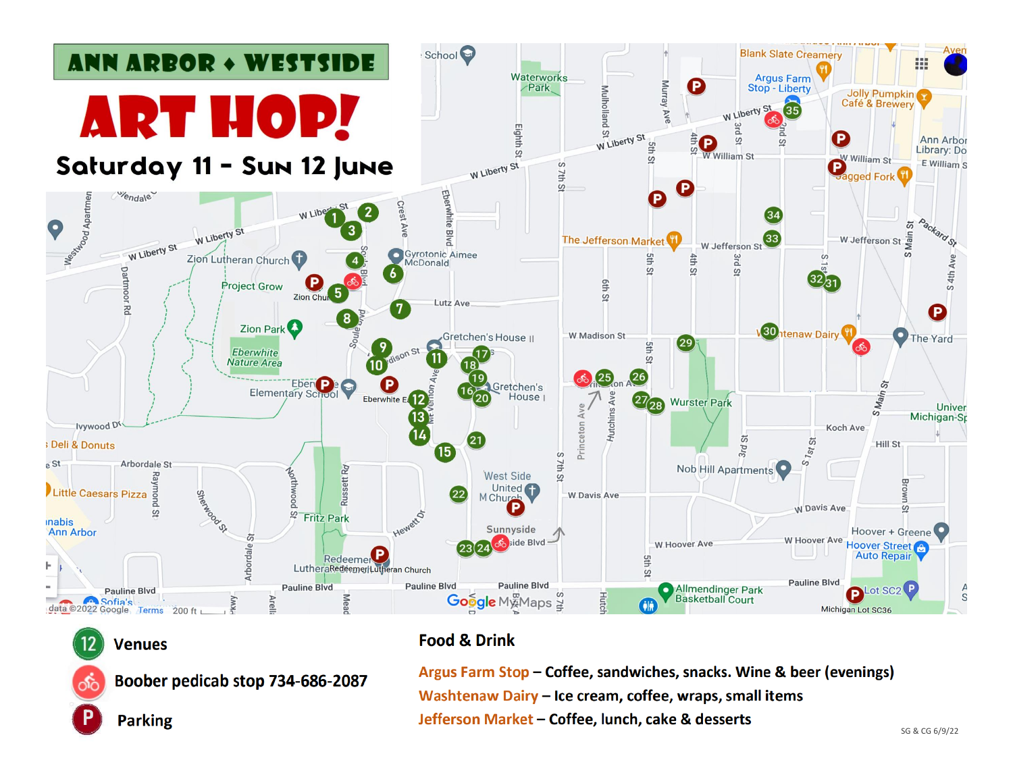

# **Venues**

Boober pedicab stop 734-686-2087

**Parking** 

# **Food & Drink**

Argus Farm Stop - Coffee, sandwiches, snacks. Wine & beer (evenings) Washtenaw Dairy - Ice cream, coffee, wraps, small items Jefferson Market - Coffee, lunch, cake & desserts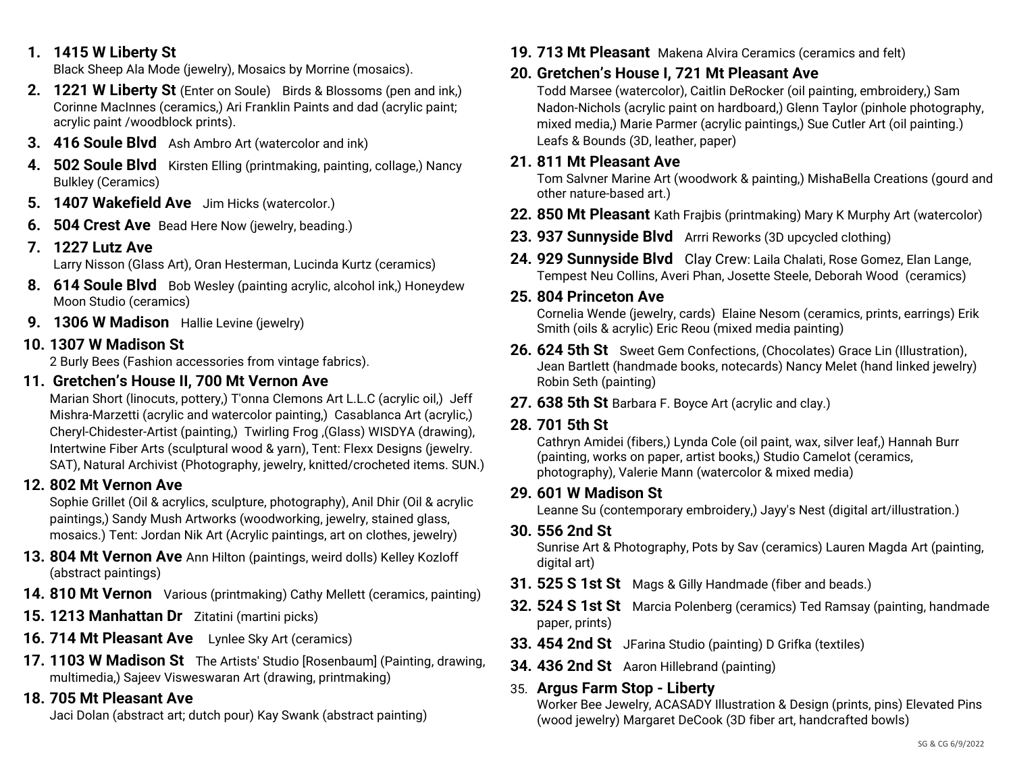### **1. 1415 W Liberty St**

Black Sheep Ala Mode (jewelry), Mosaics by Morrine (mosaics).

- **2. 1221 W Liberty St** (Enter on Soule)Birds & Blossoms (pen and ink,) Corinne MacInnes (ceramics,) Ari Franklin Paints and dad (acrylic paint; acrylic paint /woodblock prints).
- **3. 416 Soule Blvd** Ash Ambro Art (watercolor and ink)
- **4. 502 Soule Blvd** Kirsten Elling (printmaking, painting, collage,) Nancy Bulkley (Ceramics)
- **5. 1407 Wakefield Ave** Jim Hicks (watercolor.)
- **6. 504 Crest Ave** Bead Here Now (jewelry, beading.)
- **7. 1227 Lutz Ave**

Larry Nisson (Glass Art), Oran Hesterman, Lucinda Kurtz (ceramics)

- **8. 614 Soule Blvd** Bob Wesley (painting acrylic, alcohol ink,) Honeydew Moon Studio (ceramics)
- **9. 1306 W Madison** Hallie Levine (jewelry)

### **10. 1307 W Madison St**

2 Burly Bees (Fashion accessories from vintage fabrics).

## **11. Gretchen's House II, 700 Mt Vernon Ave**

Marian Short (linocuts, pottery,) T'onna Clemons Art L.L.C (acrylic oil,) Jeff Mishra-Marzetti (acrylic and watercolor painting,) Casablanca Art (acrylic,) Cheryl-Chidester-Artist (painting,) Twirling Frog ,(Glass) WISDYA (drawing), Intertwine Fiber Arts (sculptural wood & yarn), Tent: Flexx Designs (jewelry. SAT), Natural Archivist (Photography, jewelry, knitted/crocheted items. SUN.)

## **12. 802 Mt Vernon Ave**

Sophie Grillet (Oil & acrylics, sculpture, photography), Anil Dhir (Oil & acrylic paintings,) Sandy Mush Artworks (woodworking, jewelry, stained glass, mosaics.) Tent: Jordan Nik Art (Acrylic paintings, art on clothes, jewelry)

- **13. 804 Mt Vernon Ave** Ann Hilton (paintings, weird dolls) Kelley Kozloff (abstract paintings)
- **14. 810 Mt Vernon** Various (printmaking) Cathy Mellett (ceramics, painting)
- **15. 1213 Manhattan Dr** Zitatini (martini picks)
- **16. 714 Mt Pleasant Ave** Lynlee Sky Art (ceramics)
- **17. 1103 W Madison St** The Artists' Studio [Rosenbaum] (Painting, drawing, multimedia,) Sajeev Visweswaran Art (drawing, printmaking)

# **18. 705 Mt Pleasant Ave**

Jaci Dolan (abstract art; dutch pour) Kay Swank (abstract painting)

**19. 713 Mt Pleasant** Makena Alvira Ceramics (ceramics and felt)

# **20. Gretchen's House I, 721 Mt Pleasant Ave**

Todd Marsee (watercolor), Caitlin DeRocker (oil painting, embroidery,) Sam Nadon-Nichols (acrylic paint on hardboard,) Glenn Taylor (pinhole photography, mixed media,) Marie Parmer (acrylic paintings,) Sue Cutler Art (oil painting.) Leafs & Bounds (3D, leather, paper)

#### **21. 811 Mt Pleasant Ave**

Tom Salvner Marine Art (woodwork & painting,) MishaBella Creations (gourd and other nature-based art.)

- **22. 850 Mt Pleasant** Kath Frajbis (printmaking) Mary K Murphy Art (watercolor)
- **23. 937 Sunnyside Blvd** Arrri Reworks (3D upcycled clothing)
- **24. 929 Sunnyside Blvd** Clay Crew: Laila Chalati, Rose Gomez, Elan Lange, Tempest Neu Collins, Averi Phan, Josette Steele, Deborah Wood (ceramics)

### **25. 804 Princeton Ave**

Cornelia Wende (jewelry, cards) Elaine Nesom (ceramics, prints, earrings) Erik Smith (oils & acrylic) Eric Reou (mixed media painting)

- **26. 624 5th St** Sweet Gem Confections, (Chocolates) Grace Lin (Illustration), Jean Bartlett (handmade books, notecards) Nancy Melet (hand linked jewelry) Robin Seth (painting)
- **27. 638 5th St** Barbara F. Boyce Art (acrylic and clay.)

## **28. 701 5th St**

Cathryn Amidei (fibers,) Lynda Cole (oil paint, wax, silver leaf,) Hannah Burr (painting, works on paper, artist books,) Studio Camelot (ceramics, photography), Valerie Mann (watercolor & mixed media)

## **29. 601 W Madison St**

Leanne Su (contemporary embroidery,) Jayy's Nest (digital art/illustration.)

**30. 556 2nd St**

Sunrise Art & Photography, Pots by Sav (ceramics) Lauren Magda Art (painting, digital art)

- **31. 525 S 1st St** Mags & Gilly Handmade (fiber and beads.)
- **32. 524 S 1st St** Marcia Polenberg (ceramics) Ted Ramsay (painting, handmade paper, prints)
- **33. 454 2nd St** JFarina Studio (painting) D Grifka (textiles)
- **34. 436 2nd St** Aaron Hillebrand (painting)

# 35. **Argus Farm Stop - Liberty**

Worker Bee Jewelry, ACASADY Illustration & Design (prints, pins) Elevated Pins (wood jewelry) Margaret DeCook (3D fiber art, handcrafted bowls)